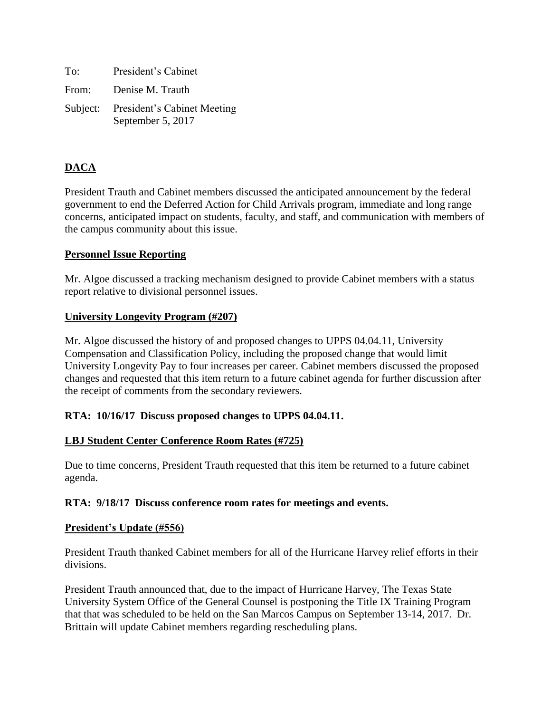| To:   | President's Cabinet                                       |
|-------|-----------------------------------------------------------|
| From: | Denise M. Trauth                                          |
|       | Subject: President's Cabinet Meeting<br>September 5, 2017 |

# **DACA**

President Trauth and Cabinet members discussed the anticipated announcement by the federal government to end the Deferred Action for Child Arrivals program, immediate and long range concerns, anticipated impact on students, faculty, and staff, and communication with members of the campus community about this issue.

# **Personnel Issue Reporting**

Mr. Algoe discussed a tracking mechanism designed to provide Cabinet members with a status report relative to divisional personnel issues.

# **University Longevity Program (#207)**

Mr. Algoe discussed the history of and proposed changes to UPPS 04.04.11, University Compensation and Classification Policy, including the proposed change that would limit University Longevity Pay to four increases per career. Cabinet members discussed the proposed changes and requested that this item return to a future cabinet agenda for further discussion after the receipt of comments from the secondary reviewers.

# **RTA: 10/16/17 Discuss proposed changes to UPPS 04.04.11.**

# **LBJ Student Center Conference Room Rates (#725)**

Due to time concerns, President Trauth requested that this item be returned to a future cabinet agenda.

#### **RTA: 9/18/17 Discuss conference room rates for meetings and events.**

#### **President's Update (#556)**

President Trauth thanked Cabinet members for all of the Hurricane Harvey relief efforts in their divisions.

President Trauth announced that, due to the impact of Hurricane Harvey, The Texas State University System Office of the General Counsel is postponing the Title IX Training Program that that was scheduled to be held on the San Marcos Campus on September 13-14, 2017. Dr. Brittain will update Cabinet members regarding rescheduling plans.